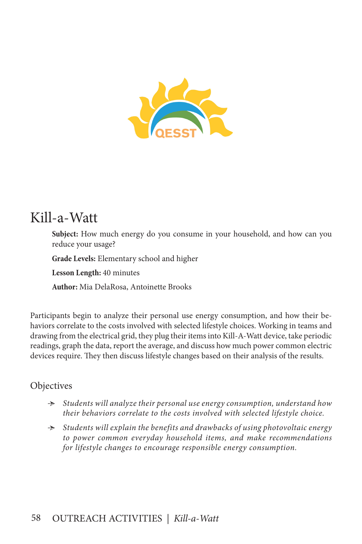

# Kill-a-Watt

**Subject:** How much energy do you consume in your household, and how can you reduce your usage?

**Grade Levels:** Elementary school and higher

**Lesson Length:** 40 minutes

**Author:** Mia DelaRosa, Antoinette Brooks

Participants begin to analyze their personal use energy consumption, and how their behaviors correlate to the costs involved with selected lifestyle choices. Working in teams and drawing from the electrical grid, they plug their items into Kill-A-Watt device, take periodic readings, graph the data, report the average, and discuss how much power common electric devices require. They then discuss lifestyle changes based on their analysis of the results.

#### **Objectives**

- Ӻ *Students will analyze their personal use energy consumption, understand how their behaviors correlate to the costs involved with selected lifestyle choice.*
- Ӻ *Students will explain the benefits and drawbacks of using photovoltaic energy to power common everyday household items, and make recommendations for lifestyle changes to encourage responsible energy consumption.*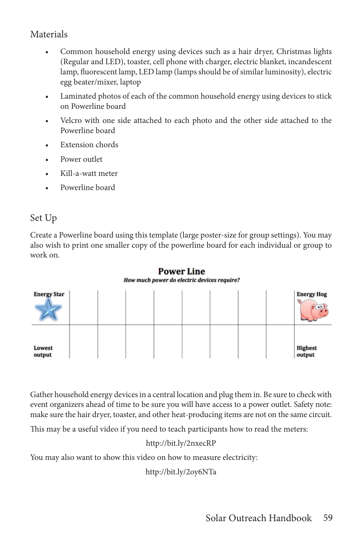### Materials

- Common household energy using devices such as a hair dryer, Christmas lights (Regular and LED), toaster, cell phone with charger, electric blanket, incandescent lamp, fluorescent lamp, LED lamp (lamps should be of similar luminosity), electric egg beater/mixer, laptop
- Laminated photos of each of the common household energy using devices to stick on Powerline board
- Velcro with one side attached to each photo and the other side attached to the Powerline board
- Extension chords
- Power outlet
- Kill-a-watt meter
- Powerline board

### Set Up

Create a Powerline board using this template (large poster-size for group settings). You may also wish to print one smaller copy of the powerline board for each individual or group to work on.



**Power Line** How much power do electric devices require?

Gather household energy devices in a central location and plug them in. Be sure to check with event organizers ahead of time to be sure you will have access to a power outlet. Safety note: make sure the hair dryer, toaster, and other heat-producing items are not on the same circuit.

This may be a useful video if you need to teach participants how to read the meters:

#### http://bit.ly/2nxecRP

You may also want to show this video on how to measure electricity:

http://bit.ly/2oy6NTa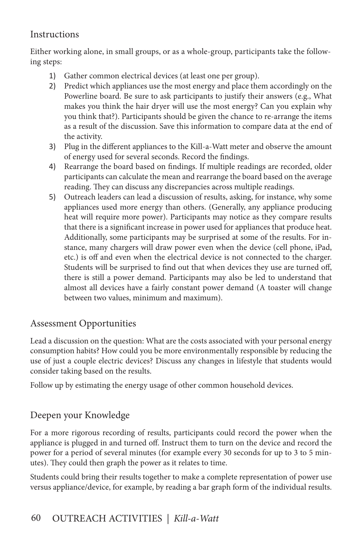#### **Instructions**

Either working alone, in small groups, or as a whole-group, participants take the following steps:

- 1) Gather common electrical devices (at least one per group).
- 2) Predict which appliances use the most energy and place them accordingly on the Powerline board. Be sure to ask participants to justify their answers (e.g., What makes you think the hair dryer will use the most energy? Can you explain why you think that?). Participants should be given the chance to re-arrange the items as a result of the discussion. Save this information to compare data at the end of the activity.
- 3) Plug in the different appliances to the Kill-a-Watt meter and observe the amount of energy used for several seconds. Record the findings.
- 4) Rearrange the board based on findings. If multiple readings are recorded, older participants can calculate the mean and rearrange the board based on the average reading. They can discuss any discrepancies across multiple readings.
- 5) Outreach leaders can lead a discussion of results, asking, for instance, why some appliances used more energy than others. (Generally, any appliance producing heat will require more power). Participants may notice as they compare results that there is a significant increase in power used for appliances that produce heat. Additionally, some participants may be surprised at some of the results. For instance, many chargers will draw power even when the device (cell phone, iPad, etc.) is off and even when the electrical device is not connected to the charger. Students will be surprised to find out that when devices they use are turned off, there is still a power demand. Participants may also be led to understand that almost all devices have a fairly constant power demand (A toaster will change between two values, minimum and maximum).

# Assessment Opportunities

Lead a discussion on the question: What are the costs associated with your personal energy consumption habits? How could you be more environmentally responsible by reducing the use of just a couple electric devices? Discuss any changes in lifestyle that students would consider taking based on the results.

Follow up by estimating the energy usage of other common household devices.

## Deepen your Knowledge

For a more rigorous recording of results, participants could record the power when the appliance is plugged in and turned off. Instruct them to turn on the device and record the power for a period of several minutes (for example every 30 seconds for up to 3 to 5 minutes). They could then graph the power as it relates to time.

Students could bring their results together to make a complete representation of power use versus appliance/device, for example, by reading a bar graph form of the individual results.

# 60 OUTREACH ACTIVITIES *| Kill-a-Watt*